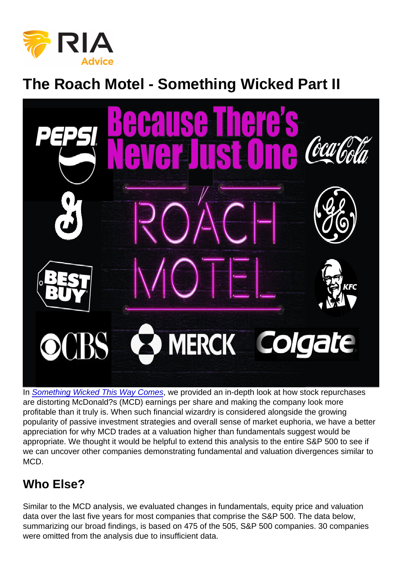## The Roach Motel - Something Wicked Part II

In [Something Wicked This Way Comes](https://realinvestmentadvice.com/something-wicked-this-way-comes-mcdonalds-a-bear-in-a-bull-costume/), we provided an in-depth look at how stock repurchases are distorting McDonald?s (MCD) earnings per share and making the company look more profitable than it truly is. When such financial wizardry is considered alongside the growing popularity of passive investment strategies and overall sense of market euphoria, we have a better appreciation for why MCD trades at a valuation higher than fundamentals suggest would be appropriate. We thought it would be helpful to extend this analysis to the entire S&P 500 to see if we can uncover other companies demonstrating fundamental and valuation divergences similar to MCD.

## Who Else?

Similar to the MCD analysis, we evaluated changes in fundamentals, equity price and valuation data over the last five years for most companies that comprise the S&P 500. The data below, summarizing our broad findings, is based on 475 of the 505, S&P 500 companies. 30 companies were omitted from the analysis due to insufficient data.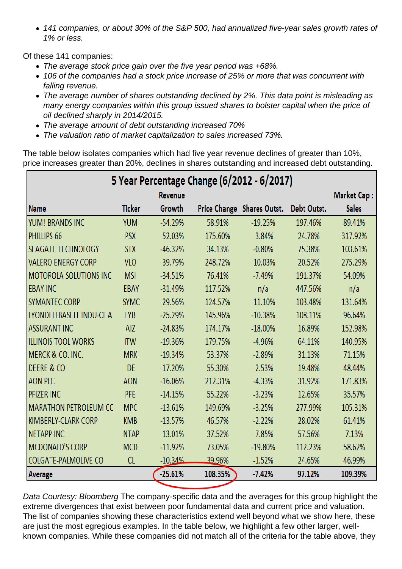141 companies, or about 30% of the S&P 500, had annualized five-year sales growth rates of 1% or less.

Of these 141 companies:

- The average stock price gain over the five year period was +68%.
- 106 of the companies had a stock price increase of 25% or more that was concurrent with falling revenue.
- The average number of shares outstanding declined by 2%. This data point is misleading as many energy companies within this group issued shares to bolster capital when the price of oil declined sharply in 2014/2015.
- The average amount of debt outstanding increased 70%
- The valuation ratio of market capitalization to sales increased 73%.

The table below isolates companies which had five year revenue declines of greater than 10%, price increases greater than 20%, declines in shares outstanding and increased debt outstanding.

Data Courtesy: Bloomberg The company-specific data and the averages for this group highlight the extreme divergences that exist between poor fundamental data and current price and valuation. The list of companies showing these characteristics extend well beyond what we show here, these are just the most egregious examples. In the table below, we highlight a few other larger, wellknown companies. While these companies did not match all of the criteria for the table above, they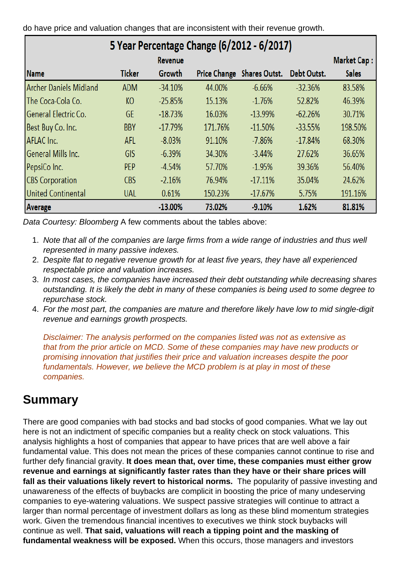do have price and valuation changes that are inconsistent with their revenue growth.

Data Courtesy: Bloomberg A few comments about the tables above:

- 1. Note that all of the companies are large firms from a wide range of industries and thus well represented in many passive indexes.
- 2. Despite flat to negative revenue growth for at least five years, they have all experienced respectable price and valuation increases.
- 3. In most cases, the companies have increased their debt outstanding while decreasing shares outstanding. It is likely the debt in many of these companies is being used to some degree to repurchase stock.
- 4. For the most part, the companies are mature and therefore likely have low to mid single-digit revenue and earnings growth prospects.

Disclaimer: The analysis performed on the companies listed was not as extensive as that from the prior article on MCD. Some of these companies may have new products or promising innovation that justifies their price and valuation increases despite the poor fundamentals. However, we believe the MCD problem is at play in most of these companies.

## Summary

There are good companies with bad stocks and bad stocks of good companies. What we lay out here is not an indictment of specific companies but a reality check on stock valuations. This analysis highlights a host of companies that appear to have prices that are well above a fair fundamental value. This does not mean the prices of these companies cannot continue to rise and further defy financial gravity. It does mean that, over time, these companies must either grow revenue and earnings at significantly faster rates than they have or their share prices will fall as their valuations likely revert to historical norms. The popularity of passive investing and unawareness of the effects of buybacks are complicit in boosting the price of many undeserving companies to eye-watering valuations. We suspect passive strategies will continue to attract a larger than normal percentage of investment dollars as long as these blind momentum strategies work. Given the tremendous financial incentives to executives we think stock buybacks will continue as well. That said, valuations will reach a tipping point and the masking of fundamental weakness will be exposed. When this occurs, those managers and investors